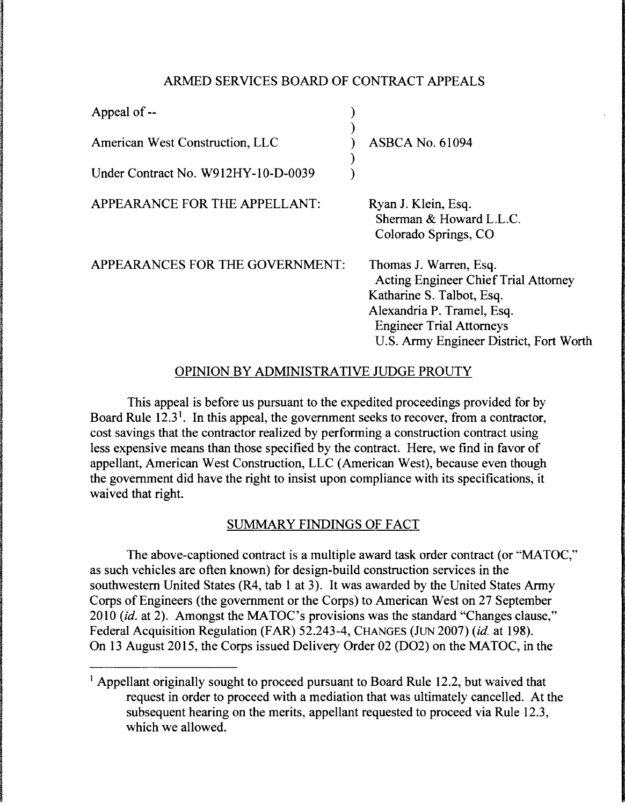#### ARMED SERVICES BOARD OF CONTRACT APPEALS

| Appeal of --                           |                                                                                                                                                                                                                |
|----------------------------------------|----------------------------------------------------------------------------------------------------------------------------------------------------------------------------------------------------------------|
| <b>American West Construction, LLC</b> | <b>ASBCA No. 61094</b>                                                                                                                                                                                         |
| Under Contract No. W912HY-10-D-0039    |                                                                                                                                                                                                                |
| APPEARANCE FOR THE APPELLANT:          | Ryan J. Klein, Esq.<br>Sherman & Howard L.L.C.<br>Colorado Springs, CO                                                                                                                                         |
| APPEARANCES FOR THE GOVERNMENT:        | Thomas J. Warren, Esq.<br><b>Acting Engineer Chief Trial Attorney</b><br>Katharine S. Talbot, Esq.<br>Alexandria P. Tramel, Esq.<br><b>Engineer Trial Attorneys</b><br>U.S. Army Engineer District, Fort Worth |

# OPINION BY ADMINISTRATIVE JUDGE PROUTY

This appeal is before us pursuant to the expedited proceedings provided for by Board Rule  $12.3<sup>1</sup>$ . In this appeal, the government seeks to recover, from a contractor, cost savings that the contractor realized by performing a construction contract using less expensive means than those specified by the contract. Here, we find in favor of appellant, American West Construction, LLC (American West), because even though the government did have the right to insist upon compliance with its specifications, it waived that right.

# SUMMARY FINDINGS OF FACT

The above-captioned contract is a multiple award task order contract (or "MATOC," as such vehicles are often known) for design-build construction services in the southwestern United States (R4, tab 1 at 3). It was awarded by the United States Army Corps of Engineers (the government or the Corps) to American West on 27 September 2010 *(id.* at 2). Amongst the MATOC's provisions was the standard "Changes clause," Federal Acquisition Regulation (FAR) 52.243-4, CHANGES (JUN 2007) *(id.* at 198). On 13 August 2015, the Corps issued Delivery Order 02 (D02) on the MATOC, in the

<sup>&</sup>lt;sup>1</sup> Appellant originally sought to proceed pursuant to Board Rule 12.2, but waived that request in order to proceed with a mediation that was ultimately cancelled. At the subsequent hearing on the merits, appellant requested to proceed via Rule 12.3, which we allowed.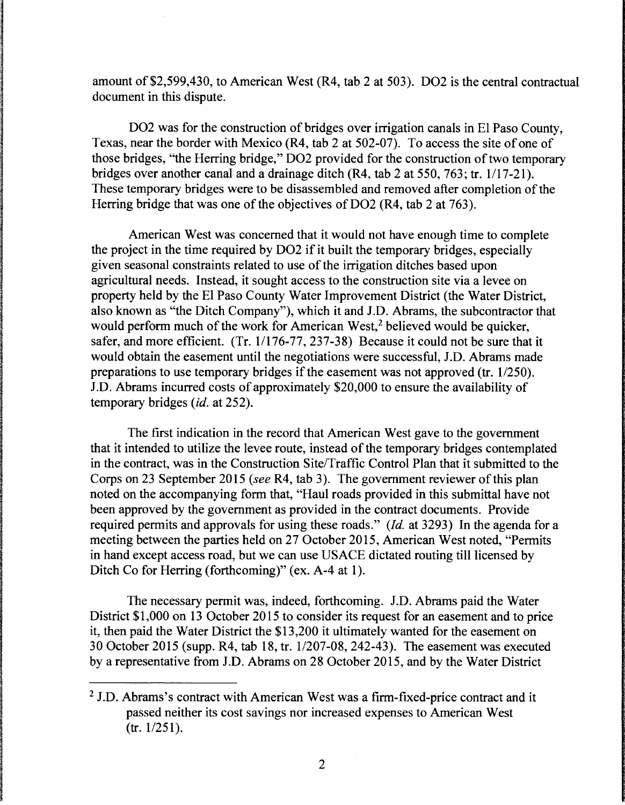amount of \$2,599,430, to American West (R4, tab 2 at 503). D02 is the central contractual document in this dispute.

D02 was for the construction of bridges over irrigation canals in El Paso County, Texas, near the border with Mexico (R4, tab 2 at 502-07). To access the site of one of those bridges, "the Herring bridge," D02 provided for the construction of two temporary bridges over another canal and a drainage ditch  $(R4, tab 2 at 550, 763; tr. 1/17-21)$ . These temporary bridges were to be disassembled and removed after completion of the Herring bridge that was one of the objectives of DO2 (R4, tab 2 at 763).

American West was concerned that it would not have enough time to complete the project in the time required by D02 if it built the temporary bridges, especially given seasonal constraints related to use of the irrigation ditches based upon agricultural needs. Instead, it sought access to the construction site via a levee on property held by the El Paso County Water Improvement District (the Water District, also known as "the Ditch Company"), which it and J.D. Abrams, the subcontractor that would perform much of the work for American West,<sup>2</sup> believed would be quicker, safer, and more efficient. (Tr. 1/176-77, 237-38) Because it could not be sure that it would obtain the easement until the negotiations were successful, J.D. Abrams made preparations to use temporary bridges if the easement was not approved (tr.  $1/250$ ). J.D. Abrams incurred costs of approximately \$20,000 to ensure the availability of temporary bridges *(id.* at 252).

The first indication in the record that American West gave to the government that it intended to utilize the levee route, instead of the temporary bridges contemplated in the contract, was in the Construction Site/Traffic Control Plan that it submitted to the Corps on 23 September 2015 (see R4, tab 3). The government reviewer of this plan noted on the accompanying form that, "Haul roads provided in this submittal have not been approved by the government as provided in the contract documents. Provide required permits and approvals for using these roads." *(Id.* at 3293) In the agenda for a meeting between the parties held on 27 October 2015, American West noted, "Permits in hand except access road, but we can use USACE dictated routing till licensed by Ditch Co for Herring (forthcoming)" (ex. A-4 at 1).

The necessary permit was, indeed, forthcoming. J.D. Abrams paid the Water District \$1,000 on 13 October 2015 to consider its request for an easement and to price it, then paid the Water District the \$13,200 it ultimately wanted for the easement on 30 October 2015 (supp. R4, tab 18, tr. 11207-08, 242-43). The easement was executed by a representative from J.D. Abrams on 28 October 2015, and by the Water District

<sup>&</sup>lt;sup>2</sup> J.D. Abrams's contract with American West was a firm-fixed-price contract and it passed neither its cost savings nor increased expenses to American West  $(tr. 1/251).$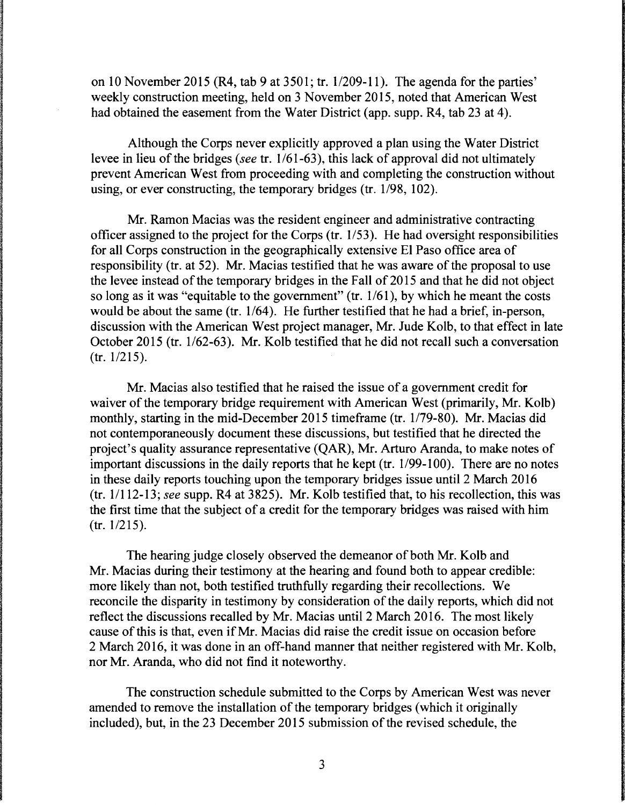on 10 November 2015 (R4, tab 9 at 3501; tr. 1/209-11). The agenda for the parties' weekly construction meeting, held on 3 November 2015, noted that American West had obtained the easement from the Water District (app. supp. R4, tab 23 at 4).

Although the Corps never explicitly approved a plan using the Water District levee in lieu of the bridges *(see tr. 1/61-63)*, this lack of approval did not ultimately prevent American West from proceeding with and completing the construction without using, or ever constructing, the temporary bridges (tr.  $1/98$ ,  $102$ ).

Mr. Ramon Macias was the resident engineer and administrative contracting officer assigned to the project for the Corps (tr. 1153). He had oversight responsibilities for all Corps construction in the geographically extensive El Paso office area of responsibility (tr. at 52). Mr. Macias testified that he was aware of the proposal to use the levee instead of the temporary bridges in the Fall of 2015 and that he did not object so long as it was "equitable to the government" (tr.  $1/61$ ), by which he meant the costs would be about the same (tr.  $1/64$ ). He further testified that he had a brief, in-person, discussion with the American West project manager, Mr. Jude Kolb, to that effect in late October 2015 (tr. 1/62-63). Mr. Kolb testified that he did not recall such a conversation  $(tr. 1/215).$ 

Mr. Macias also testified that he raised the issue of a government credit for waiver of the temporary bridge requirement with American West (primarily, Mr. Kolb) monthly, starting in the mid-December 2015 timeframe (tr. 1/79-80). Mr. Macias did not contemporaneously document these discussions, but testified that he directed the project's quality assurance representative (QAR), Mr. Arturo Aranda, to make notes of important discussions in the daily reports that he kept (tr. 1/99-100). There are no notes in these daily reports touching upon the temporary bridges issue until 2 March 2016 (tr. 11112-13; *see* supp. R4 at 3825). Mr. Kolb testified that, to his recollection, this was the first time that the subject of a credit for the temporary bridges was raised with him  $(tr. 1/215).$ 

The hearing judge closely observed the demeanor of both Mr. Kolb and Mr. Macias during their testimony at the hearing and found both to appear credible: more likely than not, both testified truthfully regarding their recollections. We reconcile the disparity in testimony by consideration of the daily reports, which did not reflect the discussions recalled by Mr. Macias until 2 March 2016. The most likely cause of this is that, even if Mr. Macias did raise the credit issue on occasion before 2 March 2016, it was done in an off-hand manner that neither registered with Mr. Kolb, nor Mr. Aranda, who did not find it noteworthy.

The construction schedule submitted to the Corps by American West was never amended to remove the installation of the temporary bridges (which it originally included), but, in the 23 December 2015 submission of the revised schedule, the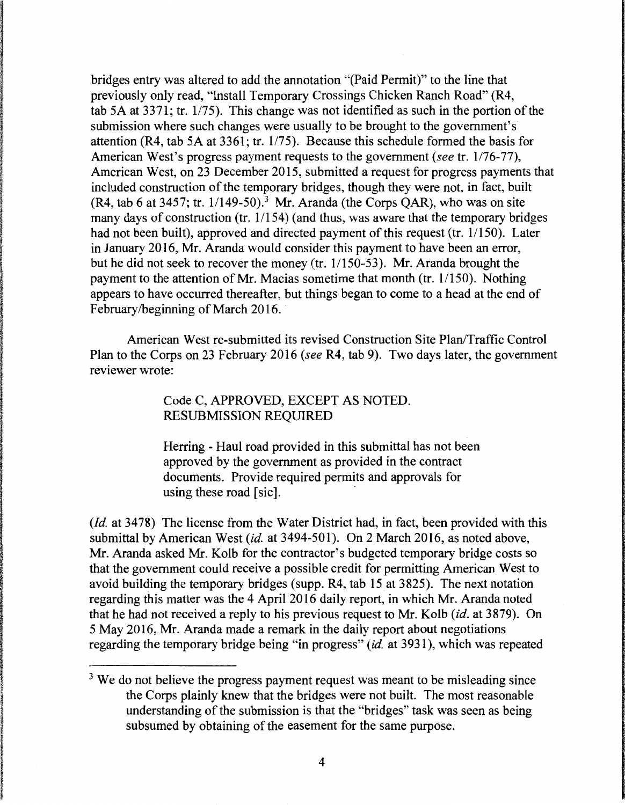bridges entry was altered to add the annotation "(Paid Permit)" to the line that previously only read, "Install Temporary Crossings Chicken Ranch Road" (R4, tab 5A at 3371; tr. 1/75). This change was not identified as such in the portion of the submission where such changes were usually to be brought to the government's attention (R4, tab 5A at 3361; tr. 1/75). Because this schedule formed the basis for American West's progress payment requests to the government (see tr. 1/76-77), American West, on 23 December 2015, submitted a request for progress payments that included construction of the temporary bridges, though they were not, in fact, built  $(R4, tab 6 at 3457; tr. 1/149-50).$ <sup>3</sup> Mr. Aranda (the Corps OAR), who was on site many days of construction (tr.  $1/154$ ) (and thus, was aware that the temporary bridges had not been built), approved and directed payment of this request (tr.  $1/150$ ). Later in January 2016, Mr. Aranda would consider this payment to have been an error, but he did not seek to recover the money (tr.  $1/150-53$ ). Mr. Aranda brought the payment to the attention of Mr. Macias sometime that month (tr. 1/150). Nothing appears to have occurred thereafter, but things began to come to a head at the end of February/beginning of March 2016.

American West re-submitted its revised Construction Site Plan/Traffic Control Plan to the Corps on 23 February 2016 (see R4, tab 9). Two days later, the government reviewer wrote:

> Code C, APPROVED, EXCEPT AS NOTED. RESUBMISSION REQUIRED

Herring - Haul road provided in this submittal has not been approved by the government as provided in the contract documents. Provide required permits and approvals for using these road [sic].

*(Id. at 3478)* The license from the Water District had, in fact, been provided with this submittal by American West *(id.* at 3494-501). On 2 March 2016, as noted above, Mr. Aranda asked Mr. Kolb for the contractor's budgeted temporary bridge costs so that the government could receive a possible credit for permitting American West to avoid building the temporary bridges (supp. R4, tab  $15$  at 3825). The next notation regarding this matter was the 4 April 2016 daily report, in which Mr. Aranda noted that he had not received a reply to his previous request to Mr. Kolb *(id.* at 3879). On 5 May 2016, Mr. Aranda made a remark in the daily report about negotiations regarding the temporary bridge being "in progress" *(id.* at 3931), which was repeated

 $3$  We do not believe the progress payment request was meant to be misleading since the Corps plainly knew that the bridges were not built. The most reasonable understanding of the submission is that the "bridges" task was seen as being subsumed by obtaining of the easement for the same purpose.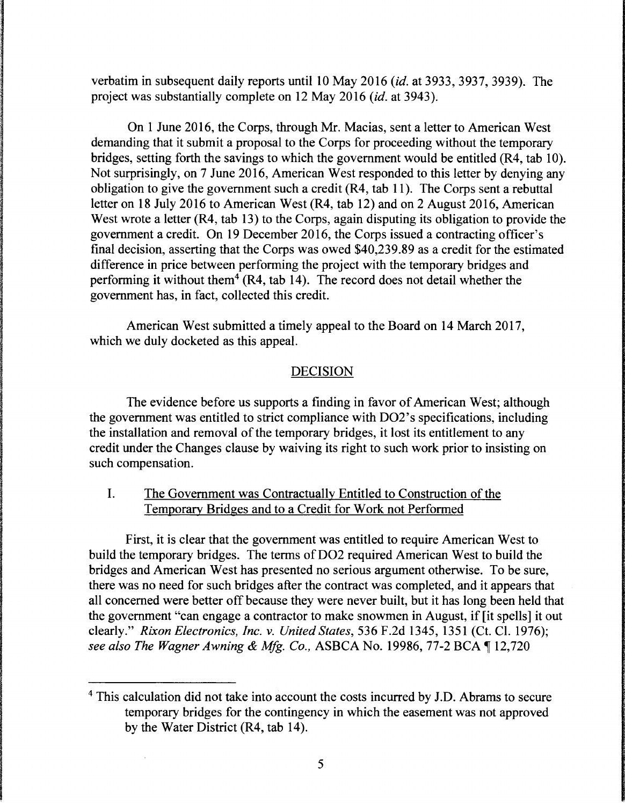verbatim in subsequent daily reports until 10 May 2016 *(id.* at 3933, 3937, 3939). The project was substantially complete on 12 May 2016 *(id.* at 3943).

On 1 June 2016, the Corps, through Mr. Macias, sent a letter to American West demanding that it submit a proposal to the Corps for proceeding without the temporary bridges, setting forth the savings to which the government would be entitled (R4, tab 10). Not surprisingly, on 7 June 2016, American West responded to this letter by denying any obligation to give the government such a credit (R4, tab 11 ). The Corps sent a rebuttal letter on 18 July 2016 to American West (R4, tab 12) and on 2 August 2016, American West wrote a letter (R4, tab 13) to the Corps, again disputing its obligation to provide the government a credit. On 19 December 2016, the Corps issued a contracting officer's final decision, asserting that the Corps was owed \$40,239.89 as a credit for the estimated difference in price between performing the project with the temporary bridges and performing it without them<sup>4</sup> (R4, tab 14). The record does not detail whether the government has, in fact, collected this credit.

American West submitted a timely appeal to the Board on 14 March 2017, which we duly docketed as this appeal.

### DECISION

The evidence before us supports a finding in favor of American West; although the government was entitled to strict compliance with DO2's specifications, including the installation and removal of the temporary bridges, it lost its entitlement to any credit under the Changes clause by waiving its right to such work prior to insisting on such compensation.

# I. The Government was Contractually Entitled to Construction of the Temporary Bridges and to a Credit for Work not Performed

First, it is clear that the government was entitled to require American West to build the temporary bridges. The terms of D02 required American West to build the bridges and American West has presented no serious argument otherwise. To be sure, there was no need for such bridges after the contract was completed, and it appears that all concerned were better off because they were never built, but it has long been held that the government "can engage a contractor to make snowmen in August, if [it spells] it out clearly." *Rixon Electronics, Inc. v. United States,* 536 F.2d 1345, 1351 (Ct. Cl. 1976); *see also The Wagner Awning* & *Mfg. Co.,* ASBCA No. 19986, 77-2 BCA ~ 12,720

<sup>4</sup> This calculation did not take into account the costs incurred by J.D. Abrams to secure temporary bridges for the contingency in which the easement was not approved by the Water District (R4, tab 14).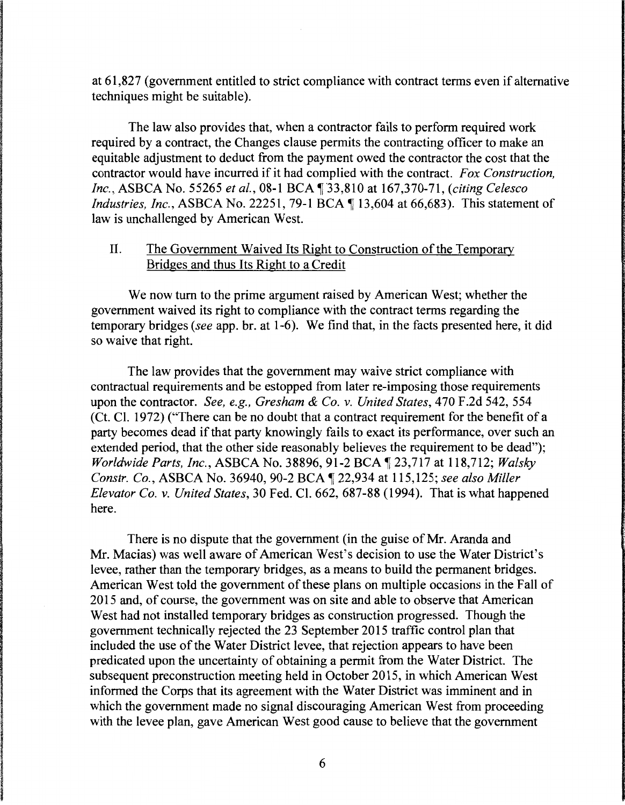at 61,827 (government entitled to strict compliance with contract terms even if alternative techniques might be suitable).

The law also provides that, when a contractor fails to perform required work required by a contract, the Changes clause permits the contracting officer to make an equitable adjustment to deduct from the payment owed the contractor the cost that the contractor would have incurred if it had complied with the contract. *Fox Construction, Inc., ASBCA No. 55265 et al., 08-1 BCA* **133.810 at 167.370-71**, *(citing Celesco Industries, Inc., ASBCA No.* 22251, 79-1 BCA 13,604 at 66,683). This statement of law is unchallenged by American West.

### II. The Government Waived Its Right to Construction of the Temporary Bridges and thus Its Right to a Credit

We now turn to the prime argument raised by American West; whether the government waived its right to compliance with the contract terms regarding the temporary bridges *(see* app. br. at 1-6). We find that, in the facts presented here, it did so waive that right.

The law provides that the government may waive strict compliance with contractual requirements and be estopped from later re-imposing those requirements upon the contractor. *See, e.g., Gresham* & *Co.* v. *United States,* 470 F.2d 542, 554 (Ct. Cl. 1972) ("There can be no doubt that a contract requirement for the benefit of a party becomes dead if that party knowingly fails to exact its performance, over such an extended period, that the other side reasonably believes the requirement to be dead"); *Worldwide Parts, Inc., ASBCA No.* 38896, 91-2 BCA 123,717 at 118,712; *Walsky Constr. Co., ASBCA No.* 36940, 90-2 BCA 122,934 at 115,125; *see also Miller Elevator Co. v. United States,* 30 Fed. Cl. 662, 687-88 (1994). That is what happened here.

There is no dispute that the government (in the guise of Mr. Aranda and Mr. Macias) was well aware of American West's decision to use the Water District's levee, rather than the temporary bridges, as a means to build the permanent bridges. American West told the government of these plans on multiple occasions in the Fall of 2015 and, of course, the government was on site and able to observe that American West had not installed temporary bridges as construction progressed. Though the government technically rejected the 23 September 2015 traffic control plan that included the use of the Water District levee, that rejection appears to have been predicated upon the uncertainty of obtaining a permit from the Water District. The subsequent preconstruction meeting held in October 2015, in which American West informed the Corps that its agreement with the Water District was imminent and in which the government made no signal discouraging American West from proceeding with the levee plan, gave American West good cause to believe that the government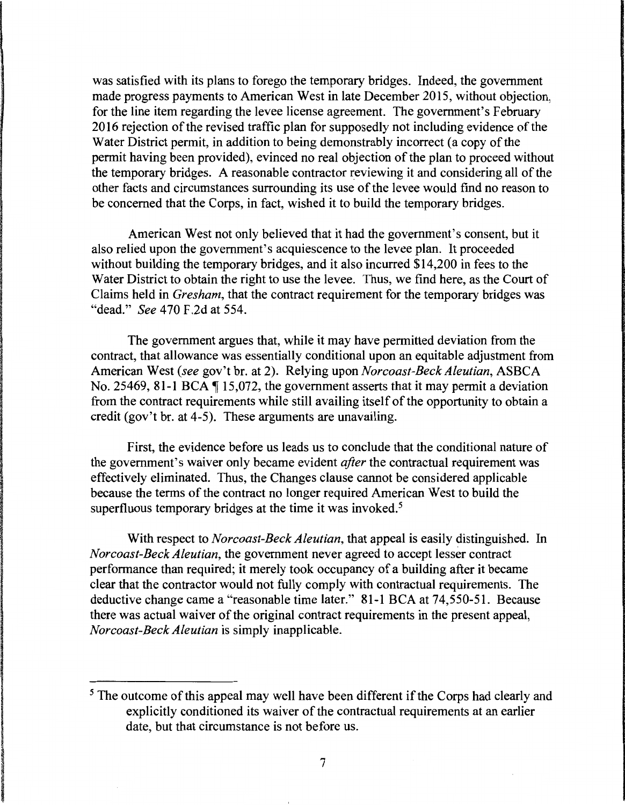was satisfied with its plans to forego the temporary bridges. Indeed, the government made progress payments to American West in late December 2015, without objection, for the line item regarding the levee license agreement. The government's February 2016 rejection of the revised traffic plan for supposedly not including evidence of the Water District permit, in addition to being demonstrably incorrect (a copy of the permit having been provided), evinced no real objection of the plan to proceed without the temporary bridges. A reasonable contractor reviewing it and considering all of the other facts and circumstances surrounding its use of the levee would find no reason to be concerned that the Corps, in fact, wished it to build the temporary bridges.

American West not only believed that it had the government's consent, but it also relied upon the government's acquiescence to the levee plan. It proceeded without building the temporary bridges, and it also incurred \$14,200 in fees to the Water District to obtain the right to use the levee. Thus, we find here, as the Court of Claims held in *Gresham,* that the contract requirement for the temporary bridges was "dead." *See* 4 70 F .2d at 554.

The government argues that, while it may have permitted deviation from the contract, that allowance was essentially conditional upon an equitable adjustment from American West *(see* gov't br. at 2). Relying upon *Norcoast-Beck Aleutian,* ASBCA No. 25469, 81-1 BCA  $\P$  15,072, the government asserts that it may permit a deviation from the contract requirements while still availing itself of the opportunity to obtain a credit (gov't br. at 4-5). These arguments are unavailing.

First, the evidence before us leads us to conclude that the conditional nature of the government's waiver only became evident *after* the contractual requirement was effectively eliminated. Thus, the Changes clause cannot be considered applicable because the terms of the contract no longer required American West to build the superfluous temporary bridges at the time it was invoked.<sup>5</sup>

With respect to *Norcoast-Beck Aleutian,* that appeal is easily distinguished. In *Norcoast-Beck Aleutian,* the government never agreed to accept lesser contract performance than required; it merely took occupancy of a building after it became clear that the contractor would not fully comply with contractual requirements. The deductive change came a "reasonable time later." 81-1 BCA at 74,550-51. Because there was actual waiver of the original contract requirements in the present appeal, *Norcoast-Beck Aleutian* is simply inapplicable.

<sup>&</sup>lt;sup>5</sup> The outcome of this appeal may well have been different if the Corps had clearly and explicitly conditioned its waiver of the contractual requirements at an earlier date, but that circumstance is not before us.